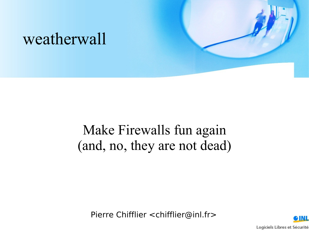

#### Make Firewalls fun again (and, no, they are not dead)

Pierre Chifflier <chifflier@inl.fr>

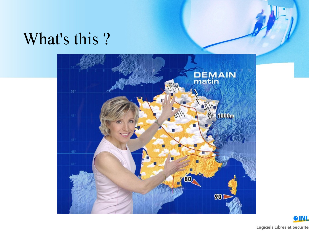#### What's this ?



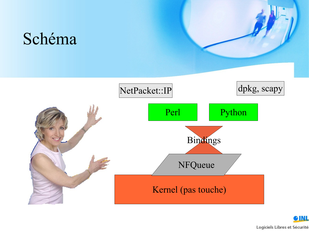

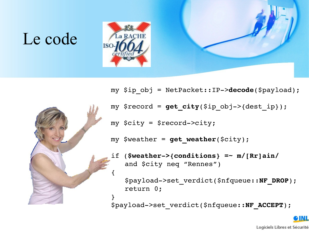## Le code





- my \$ip\_obj = NetPacket::IP>**decode**(\$payload);
- my \$record = **get\_city**(\$ip\_obj>{dest\_ip});
- my \$city = \$record>city;

my \$weather = **get\_weather**(\$city);

if (**\$weather>{conditions} =~ m/[Rr]ain/** and \$city neq "Rennes")

\$payload>set\_verdict(\$nfqueue::**NF\_DROP**); return 0;

\$payload>set\_verdict(\$nfqueue::**NF\_ACCEPT**);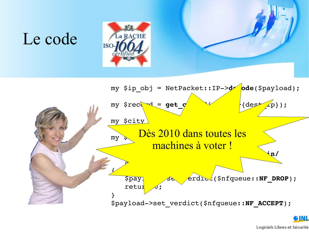## Le code





Logiciels Libres et Sécurité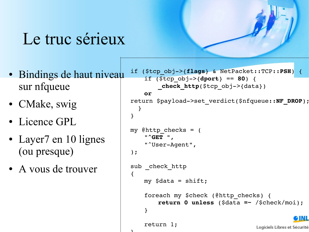### Le truc sérieux

- Bindings de haut niveau sur nfqueue
- CMake, swig
- Licence GPL
- Layer7 en 10 lignes (ou presque)
- A vous de trouver

 $\mathbf{A}$ 

```
if ($tcp_obj>{flags} & NetPacket::TCP::PSH) {
    if ($tcp_obj>{dport} == 80) {
        check http($tcp obj->{data})
    or
return $payload>set_verdict($nfqueue::NF_DROP);
  }
}
my \thetahttp checks = (
    "^GET ",
    "<sup>^</sup>User-Agent",
);
sub check http
{
    my $data = shift;
    foreach my $check (@http_checks) {
        return 0 unless ($data =~ /$check/moi);
    }
                                                   TN T
    return 1;
                                      Logiciels Libres et Sécurité
```